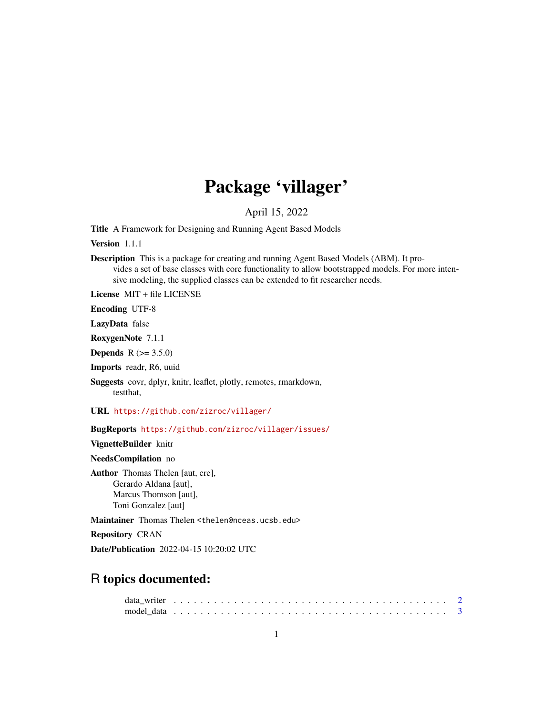## Package 'villager'

April 15, 2022

Title A Framework for Designing and Running Agent Based Models

Version 1.1.1

Description This is a package for creating and running Agent Based Models (ABM). It provides a set of base classes with core functionality to allow bootstrapped models. For more intensive modeling, the supplied classes can be extended to fit researcher needs.

License MIT + file LICENSE

Encoding UTF-8

LazyData false

RoxygenNote 7.1.1

**Depends** R  $(>= 3.5.0)$ 

Imports readr, R6, uuid

Suggests covr, dplyr, knitr, leaflet, plotly, remotes, rmarkdown, testthat,

URL <https://github.com/zizroc/villager/>

BugReports <https://github.com/zizroc/villager/issues/>

VignetteBuilder knitr

NeedsCompilation no

Author Thomas Thelen [aut, cre], Gerardo Aldana [aut], Marcus Thomson [aut], Toni Gonzalez [aut]

Maintainer Thomas Thelen <thelen@nceas.ucsb.edu>

Repository CRAN

Date/Publication 2022-04-15 10:20:02 UTC

### R topics documented: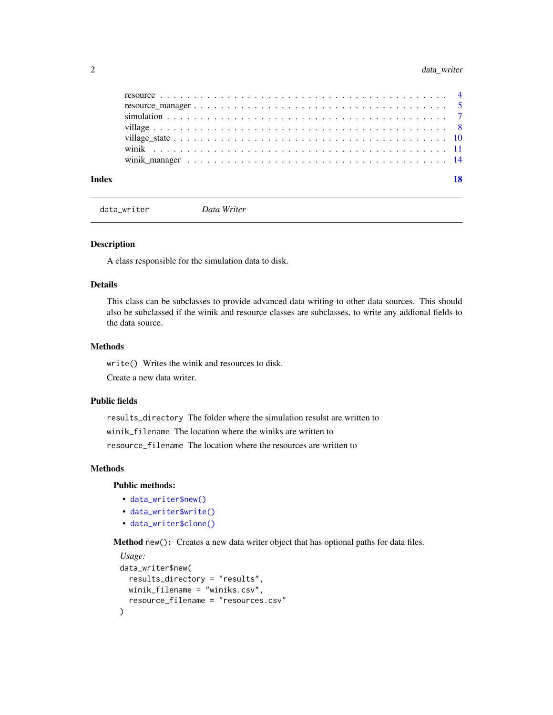#### <span id="page-1-0"></span>2 data\_writer

| Index | 18 |
|-------|----|
|       |    |
|       |    |
|       |    |
|       |    |
|       |    |
|       |    |
|       |    |

data\_writer *Data Writer*

#### Description

A class responsible for the simulation data to disk.

#### Details

This class can be subclasses to provide advanced data writing to other data sources. This should also be subclassed if the winik and resource classes are subclasses, to write any addional fields to the data source.

#### Methods

write() Writes the winik and resources to disk.

Create a new data writer.

#### Public fields

results\_directory The folder where the simulation resulst are written to winik\_filename The location where the winiks are written to resource\_filename The location where the resources are written to

#### Methods

Public methods:

- [data\\_writer\\$new\(\)](#page-1-1)
- [data\\_writer\\$write\(\)](#page-2-1)
- [data\\_writer\\$clone\(\)](#page-2-2)

<span id="page-1-1"></span>Method new(): Creates a new data writer object that has optional paths for data files.

```
Usage:
data_writer$new(
 results_directory = "results",
 winik_filename = "winiks.csv",
  resource_filename = "resources.csv"
)
```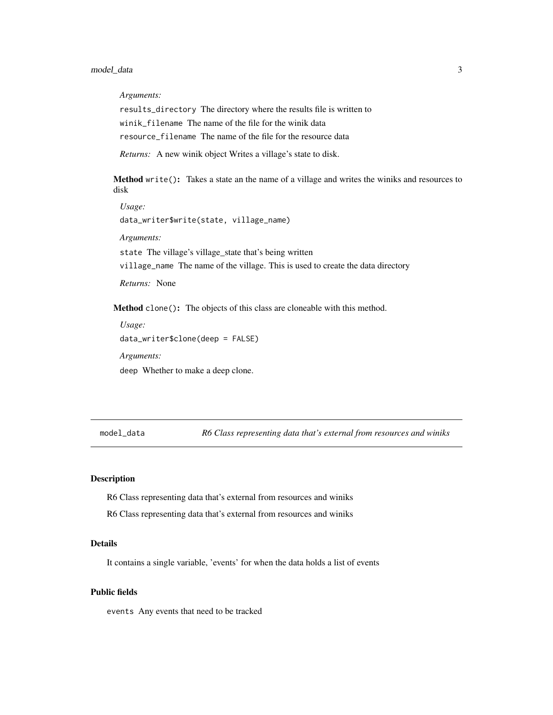<span id="page-2-0"></span>*Arguments:*

results\_directory The directory where the results file is written to winik\_filename The name of the file for the winik data resource\_filename The name of the file for the resource data

*Returns:* A new winik object Writes a village's state to disk.

<span id="page-2-1"></span>Method write(): Takes a state an the name of a village and writes the winiks and resources to disk

*Usage:* data\_writer\$write(state, village\_name) *Arguments:* state The village's village\_state that's being written village\_name The name of the village. This is used to create the data directory *Returns:* None Method clone(): The objects of this class are cloneable with this method.

```
Usage:
data_writer$clone(deep = FALSE)
Arguments:
deep Whether to make a deep clone.
```
model\_data *R6 Class representing data that's external from resources and winiks*

#### Description

R6 Class representing data that's external from resources and winiks

R6 Class representing data that's external from resources and winiks

#### Details

It contains a single variable, 'events' for when the data holds a list of events

#### Public fields

events Any events that need to be tracked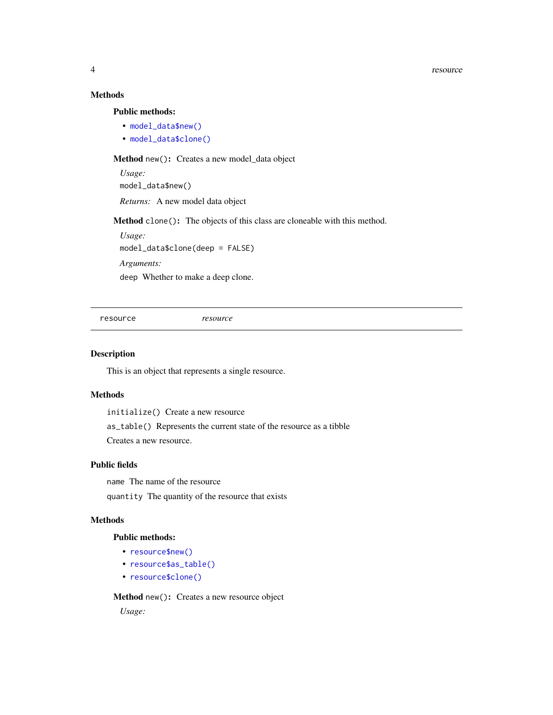4 resource

#### Methods

Public methods:

- [model\\_data\\$new\(\)](#page-1-1)
- [model\\_data\\$clone\(\)](#page-2-2)

Method new(): Creates a new model\_data object

*Usage:* model\_data\$new()

*Returns:* A new model data object

Method clone(): The objects of this class are cloneable with this method.

*Usage:* model\_data\$clone(deep = FALSE)

*Arguments:*

deep Whether to make a deep clone.

resource *resource*

#### Description

This is an object that represents a single resource.

#### Methods

initialize() Create a new resource

as\_table() Represents the current state of the resource as a tibble Creates a new resource.

#### Public fields

name The name of the resource quantity The quantity of the resource that exists

#### Methods

#### Public methods:

- [resource\\$new\(\)](#page-1-1)
- [resource\\$as\\_table\(\)](#page-4-1)
- [resource\\$clone\(\)](#page-2-2)

Method new(): Creates a new resource object *Usage:*

<span id="page-3-0"></span>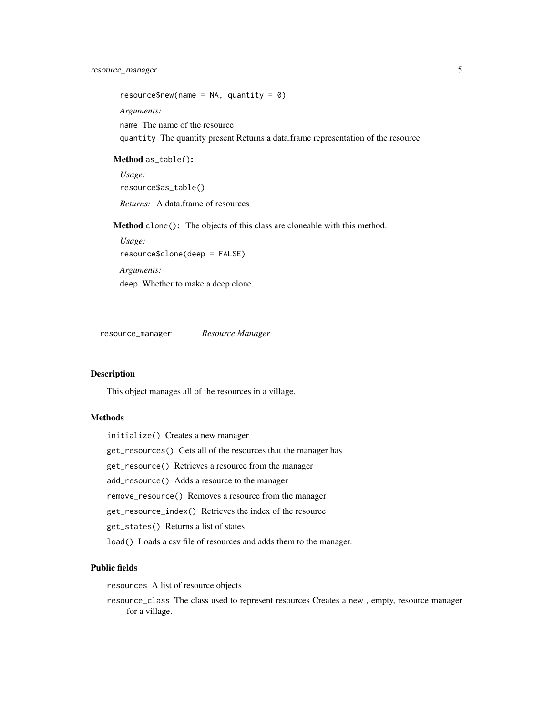<span id="page-4-0"></span>resource\$new(name = NA, quantity =  $\theta$ )

*Arguments:*

name The name of the resource

quantity The quantity present Returns a data.frame representation of the resource

<span id="page-4-1"></span>Method as\_table(): *Usage:*

resource\$as\_table()

*Returns:* A data.frame of resources

Method clone(): The objects of this class are cloneable with this method.

*Usage:* resource\$clone(deep = FALSE) *Arguments:* deep Whether to make a deep clone.

resource\_manager *Resource Manager*

#### Description

This object manages all of the resources in a village.

#### **Methods**

initialize() Creates a new manager get\_resources() Gets all of the resources that the manager has

get\_resource() Retrieves a resource from the manager

add\_resource() Adds a resource to the manager

remove\_resource() Removes a resource from the manager

get\_resource\_index() Retrieves the index of the resource

get\_states() Returns a list of states

load() Loads a csv file of resources and adds them to the manager.

#### Public fields

resources A list of resource objects

resource\_class The class used to represent resources Creates a new , empty, resource manager for a village.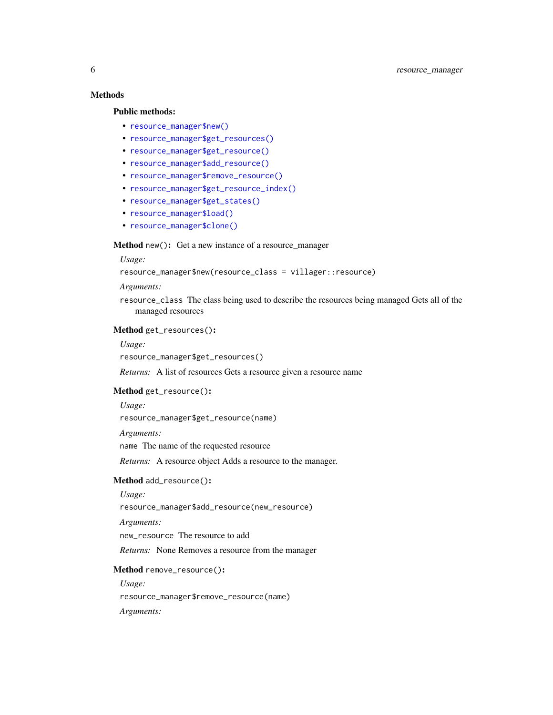#### Methods

#### Public methods:

- [resource\\_manager\\$new\(\)](#page-1-1)
- [resource\\_manager\\$get\\_resources\(\)](#page-5-0)
- [resource\\_manager\\$get\\_resource\(\)](#page-5-1)
- [resource\\_manager\\$add\\_resource\(\)](#page-5-2)
- [resource\\_manager\\$remove\\_resource\(\)](#page-5-3)
- [resource\\_manager\\$get\\_resource\\_index\(\)](#page-6-1)
- [resource\\_manager\\$get\\_states\(\)](#page-6-2)
- [resource\\_manager\\$load\(\)](#page-6-3)
- [resource\\_manager\\$clone\(\)](#page-2-2)

#### Method new(): Get a new instance of a resource\_manager

#### *Usage:*

resource\_manager\$new(resource\_class = villager::resource)

#### *Arguments:*

resource\_class The class being used to describe the resources being managed Gets all of the managed resources

#### <span id="page-5-0"></span>Method get\_resources():

#### *Usage:*

resource\_manager\$get\_resources()

*Returns:* A list of resources Gets a resource given a resource name

#### <span id="page-5-1"></span>Method get\_resource():

#### *Usage:*

resource\_manager\$get\_resource(name)

#### *Arguments:*

name The name of the requested resource

*Returns:* A resource object Adds a resource to the manager.

#### <span id="page-5-2"></span>Method add\_resource():

#### *Usage:*

resource\_manager\$add\_resource(new\_resource)

*Arguments:*

new\_resource The resource to add

*Returns:* None Removes a resource from the manager

#### <span id="page-5-3"></span>Method remove\_resource():

*Usage:*

resource\_manager\$remove\_resource(name)

#### *Arguments:*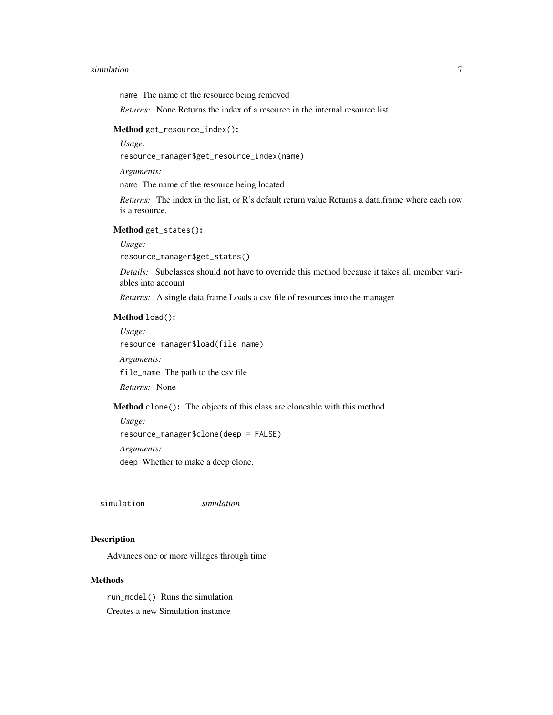#### <span id="page-6-0"></span>simulation 7 and 2008 and 2008 and 2008 and 2008 and 2008 and 2008 and 2008 and 2008 and 2008 and 2008 and 200

name The name of the resource being removed

*Returns:* None Returns the index of a resource in the internal resource list

#### <span id="page-6-1"></span>Method get\_resource\_index():

*Usage:*

resource\_manager\$get\_resource\_index(name)

*Arguments:*

name The name of the resource being located

*Returns:* The index in the list, or R's default return value Returns a data.frame where each row is a resource.

#### <span id="page-6-2"></span>Method get\_states():

*Usage:*

resource\_manager\$get\_states()

*Details:* Subclasses should not have to override this method because it takes all member variables into account

*Returns:* A single data.frame Loads a csv file of resources into the manager

#### <span id="page-6-3"></span>Method load():

*Usage:* resource\_manager\$load(file\_name)

*Arguments:*

file\_name The path to the csv file

*Returns:* None

Method clone(): The objects of this class are cloneable with this method.

*Usage:*

resource\_manager\$clone(deep = FALSE)

*Arguments:*

deep Whether to make a deep clone.

simulation *simulation*

#### Description

Advances one or more villages through time

#### Methods

run\_model() Runs the simulation Creates a new Simulation instance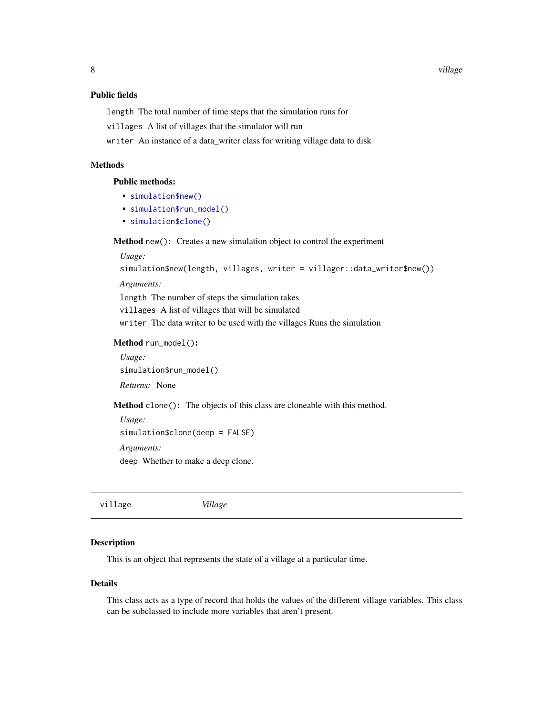#### <span id="page-7-0"></span>Public fields

length The total number of time steps that the simulation runs for

villages A list of villages that the simulator will run

writer An instance of a data\_writer class for writing village data to disk

#### Methods

#### Public methods:

- [simulation\\$new\(\)](#page-1-1)
- [simulation\\$run\\_model\(\)](#page-7-1)
- [simulation\\$clone\(\)](#page-2-2)

Method new(): Creates a new simulation object to control the experiment

*Usage:*

simulation\$new(length, villages, writer = villager::data\_writer\$new())

*Arguments:*

length The number of steps the simulation takes villages A list of villages that will be simulated writer The data writer to be used with the villages Runs the simulation

<span id="page-7-1"></span>Method run\_model():

*Usage:* simulation\$run\_model() *Returns:* None

Method clone(): The objects of this class are cloneable with this method.

*Usage:* simulation\$clone(deep = FALSE) *Arguments:* deep Whether to make a deep clone.

village *Village*

#### Description

This is an object that represents the state of a village at a particular time.

#### Details

This class acts as a type of record that holds the values of the different village variables. This class can be subclassed to include more variables that aren't present.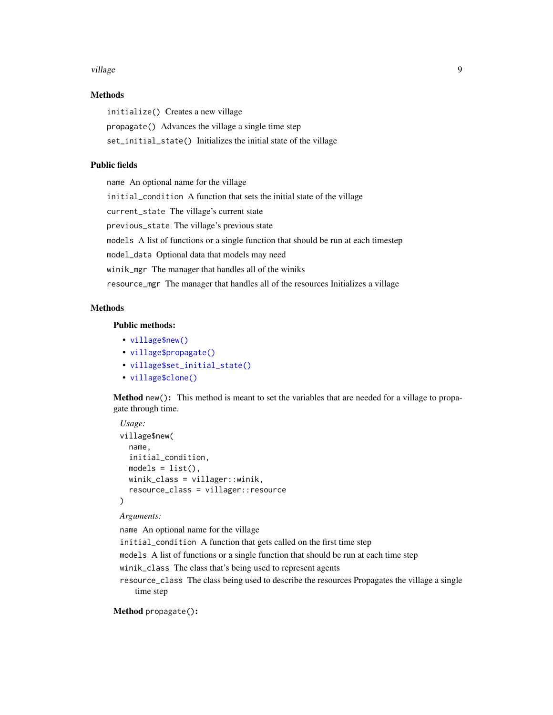#### village **9** and 2012 and 2012 and 2012 and 2012 and 2012 and 2012 and 2012 and 2012 and 2012 and 2012 and 2012 and 2012 and 2012 and 2012 and 2012 and 2012 and 2012 and 2012 and 2012 and 2012 and 2012 and 2012 and 2012 and

#### Methods

initialize() Creates a new village propagate() Advances the village a single time step set\_initial\_state() Initializes the initial state of the village

#### Public fields

name An optional name for the village initial\_condition A function that sets the initial state of the village current\_state The village's current state previous\_state The village's previous state models A list of functions or a single function that should be run at each timestep model\_data Optional data that models may need winik\_mgr The manager that handles all of the winiks resource\_mgr The manager that handles all of the resources Initializes a village

#### Methods

#### Public methods:

- [village\\$new\(\)](#page-1-1)
- [village\\$propagate\(\)](#page-8-0)
- [village\\$set\\_initial\\_state\(\)](#page-9-1)
- [village\\$clone\(\)](#page-2-2)

Method new(): This method is meant to set the variables that are needed for a village to propagate through time.

```
Usage:
village$new(
 name,
  initial_condition,
 models = list(),
 winik_class = villager::winik,
  resource_class = villager::resource
)
```
#### *Arguments:*

name An optional name for the village

initial\_condition A function that gets called on the first time step

models A list of functions or a single function that should be run at each time step

- winik\_class The class that's being used to represent agents
- resource\_class The class being used to describe the resources Propagates the village a single time step

<span id="page-8-0"></span>Method propagate():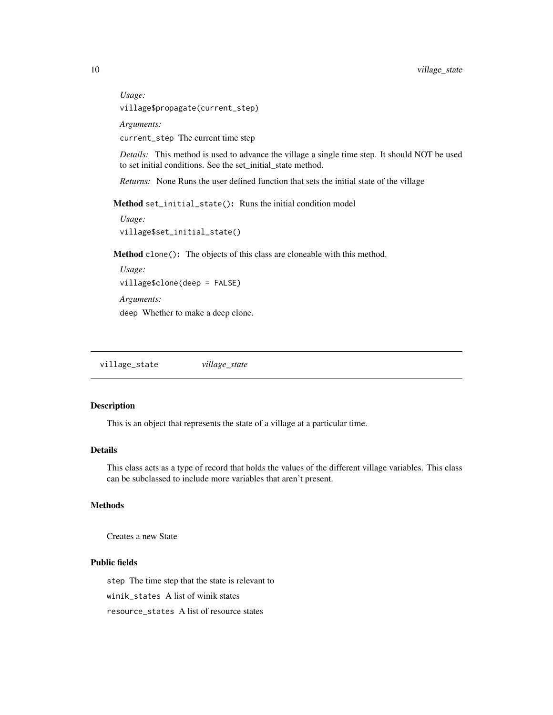*Usage:*

village\$propagate(current\_step)

*Arguments:*

current\_step The current time step

*Details:* This method is used to advance the village a single time step. It should NOT be used to set initial conditions. See the set\_initial\_state method.

*Returns:* None Runs the user defined function that sets the initial state of the village

<span id="page-9-1"></span>Method set\_initial\_state(): Runs the initial condition model

```
Usage:
village$set_initial_state()
```
Method clone(): The objects of this class are cloneable with this method.

*Usage:* village\$clone(deep = FALSE) *Arguments:* deep Whether to make a deep clone.

village\_state *village\_state*

#### Description

This is an object that represents the state of a village at a particular time.

#### Details

This class acts as a type of record that holds the values of the different village variables. This class can be subclassed to include more variables that aren't present.

#### Methods

Creates a new State

#### Public fields

step The time step that the state is relevant to

winik\_states A list of winik states

resource\_states A list of resource states

<span id="page-9-0"></span>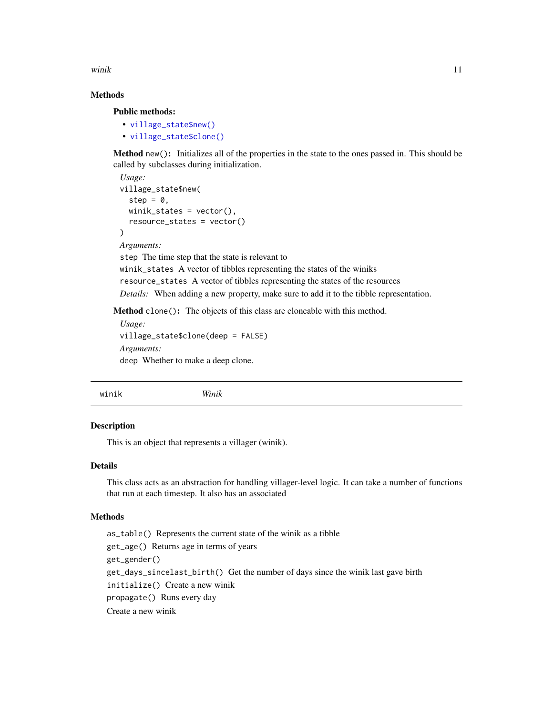<span id="page-10-0"></span>winik the contract of the contract of the contract of the contract of the contract of the contract of the contract of the contract of the contract of the contract of the contract of the contract of the contract of the cont

#### Methods

Public methods:

• [village\\_state\\$new\(\)](#page-1-1) • [village\\_state\\$clone\(\)](#page-2-2)

Method new(): Initializes all of the properties in the state to the ones passed in. This should be called by subclasses during initialization.

```
Usage:
village_state$new(
  step = \theta,
  winit\_states = vector(),resource_states = vector()
\lambdaArguments:
step The time step that the state is relevant to
```
winik\_states A vector of tibbles representing the states of the winiks resource\_states A vector of tibbles representing the states of the resources *Details:* When adding a new property, make sure to add it to the tibble representation.

Method clone(): The objects of this class are cloneable with this method.

```
Usage:
village_state$clone(deep = FALSE)
Arguments:
deep Whether to make a deep clone.
```
winik *Winik*

#### Description

This is an object that represents a villager (winik).

#### Details

This class acts as an abstraction for handling villager-level logic. It can take a number of functions that run at each timestep. It also has an associated

#### Methods

as\_table() Represents the current state of the winik as a tibble get\_age() Returns age in terms of years get\_gender() get\_days\_sincelast\_birth() Get the number of days since the winik last gave birth initialize() Create a new winik propagate() Runs every day Create a new winik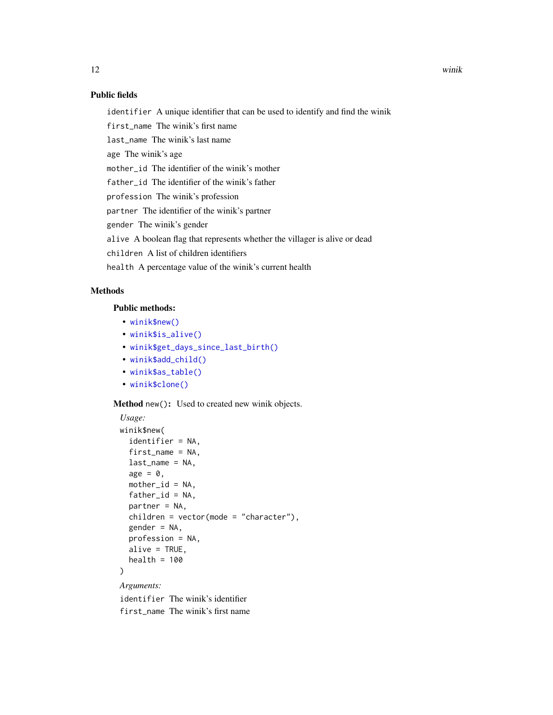#### Public fields

identifier A unique identifier that can be used to identify and find the winik

first\_name The winik's first name

last\_name The winik's last name

age The winik's age

mother\_id The identifier of the winik's mother

father\_id The identifier of the winik's father

profession The winik's profession

partner The identifier of the winik's partner

gender The winik's gender

alive A boolean flag that represents whether the villager is alive or dead

children A list of children identifiers

health A percentage value of the winik's current health

#### Methods

#### Public methods:

- [winik\\$new\(\)](#page-1-1)
- [winik\\$is\\_alive\(\)](#page-12-0)
- [winik\\$get\\_days\\_since\\_last\\_birth\(\)](#page-12-1)
- [winik\\$add\\_child\(\)](#page-12-2)
- [winik\\$as\\_table\(\)](#page-4-1)
- [winik\\$clone\(\)](#page-2-2)

Method new(): Used to created new winik objects.

```
Usage:
winik$new(
  identifier = NA,
  first_name = NA,
 last_name = NA,
 age = 0,mother_id = NA,
  father_id = NA,
 partner = NA,
 children = vector(mode = "character"),
 gender = NA,
 profession = NA,
 alive = TRUE,
 health = 100)
```
*Arguments:*

identifier The winik's identifier first\_name The winik's first name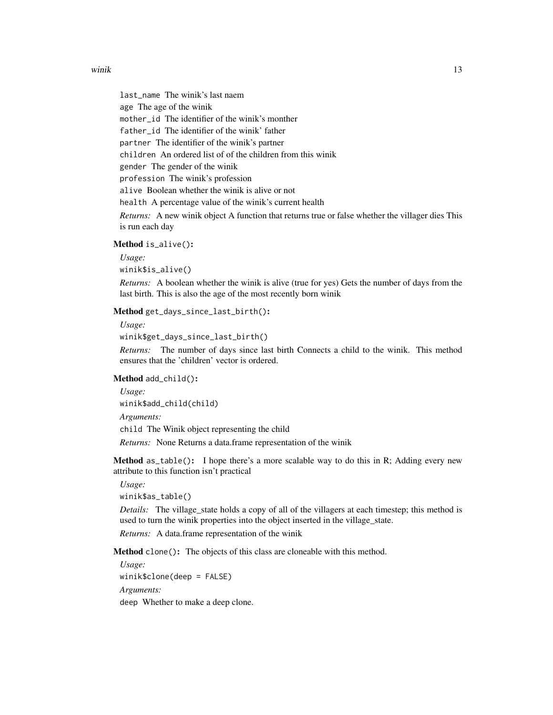#### winik the contract of the contract of the contract of the contract of the contract of the contract of the contract of the contract of the contract of the contract of the contract of the contract of the contract of the cont

last\_name The winik's last naem age The age of the winik mother\_id The identifier of the winik's monther father\_id The identifier of the winik' father partner The identifier of the winik's partner children An ordered list of of the children from this winik gender The gender of the winik profession The winik's profession alive Boolean whether the winik is alive or not health A percentage value of the winik's current health *Returns:* A new winik object A function that returns true or false whether the villager dies This is run each day

#### <span id="page-12-0"></span>Method is\_alive():

*Usage:*

winik\$is\_alive()

*Returns:* A boolean whether the winik is alive (true for yes) Gets the number of days from the last birth. This is also the age of the most recently born winik

<span id="page-12-1"></span>Method get\_days\_since\_last\_birth():

*Usage:*

winik\$get\_days\_since\_last\_birth()

*Returns:* The number of days since last birth Connects a child to the winik. This method ensures that the 'children' vector is ordered.

<span id="page-12-2"></span>Method add\_child():

*Usage:*

winik\$add\_child(child)

*Arguments:*

child The Winik object representing the child

*Returns:* None Returns a data.frame representation of the winik

**Method** as  $_table()$ : I hope there's a more scalable way to do this in R; Adding every new attribute to this function isn't practical

*Usage:* winik\$as\_table()

*Details:* The village state holds a copy of all of the villagers at each timestep; this method is used to turn the winik properties into the object inserted in the village\_state.

*Returns:* A data.frame representation of the winik

Method clone(): The objects of this class are cloneable with this method.

*Usage:* winik\$clone(deep = FALSE) *Arguments:*

deep Whether to make a deep clone.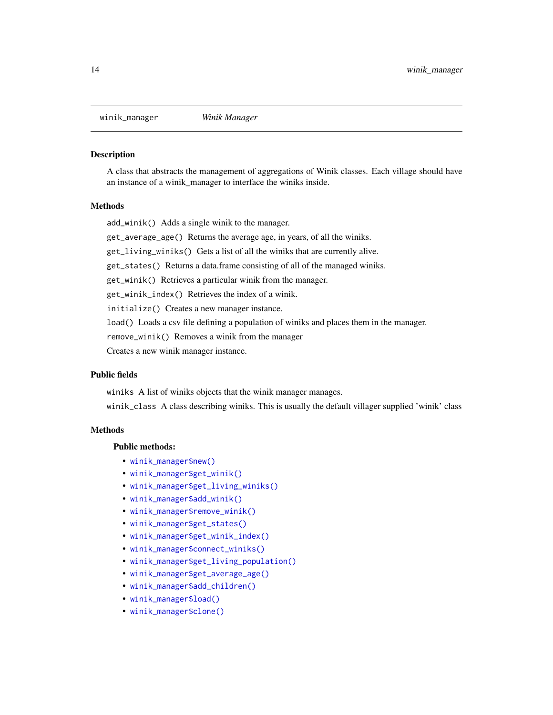<span id="page-13-0"></span>

#### Description

A class that abstracts the management of aggregations of Winik classes. Each village should have an instance of a winik\_manager to interface the winiks inside.

#### Methods

add\_winik() Adds a single winik to the manager.

get\_average\_age() Returns the average age, in years, of all the winiks.

get\_living\_winiks() Gets a list of all the winiks that are currently alive.

get\_states() Returns a data.frame consisting of all of the managed winiks.

get\_winik() Retrieves a particular winik from the manager.

get\_winik\_index() Retrieves the index of a winik.

initialize() Creates a new manager instance.

load() Loads a csv file defining a population of winiks and places them in the manager.

remove\_winik() Removes a winik from the manager

Creates a new winik manager instance.

#### Public fields

winiks A list of winiks objects that the winik manager manages.

winik\_class A class describing winiks. This is usually the default villager supplied 'winik' class

#### **Methods**

#### Public methods:

- [winik\\_manager\\$new\(\)](#page-1-1)
- [winik\\_manager\\$get\\_winik\(\)](#page-14-0)
- [winik\\_manager\\$get\\_living\\_winiks\(\)](#page-14-1)
- [winik\\_manager\\$add\\_winik\(\)](#page-14-2)
- [winik\\_manager\\$remove\\_winik\(\)](#page-14-3)
- [winik\\_manager\\$get\\_states\(\)](#page-6-2)
- [winik\\_manager\\$get\\_winik\\_index\(\)](#page-14-4)
- [winik\\_manager\\$connect\\_winiks\(\)](#page-15-0)
- [winik\\_manager\\$get\\_living\\_population\(\)](#page-15-1)
- [winik\\_manager\\$get\\_average\\_age\(\)](#page-15-2)
- [winik\\_manager\\$add\\_children\(\)](#page-15-3)
- [winik\\_manager\\$load\(\)](#page-6-3)
- [winik\\_manager\\$clone\(\)](#page-2-2)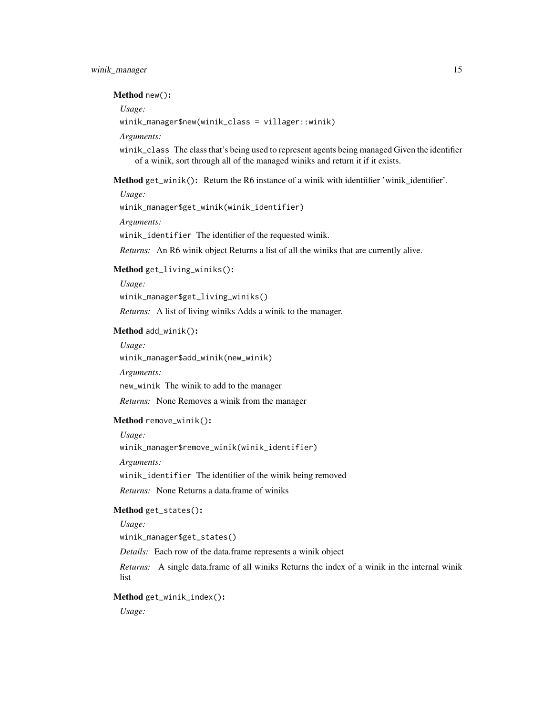#### Method new():

*Usage:*

winik\_manager\$new(winik\_class = villager::winik)

*Arguments:*

winik\_class The class that's being used to represent agents being managed Given the identifier of a winik, sort through all of the managed winiks and return it if it exists.

<span id="page-14-0"></span>Method get\_winik(): Return the R6 instance of a winik with identifier 'winik\_identifier'.

*Usage:*

winik\_manager\$get\_winik(winik\_identifier)

*Arguments:*

winik\_identifier The identifier of the requested winik.

*Returns:* An R6 winik object Returns a list of all the winiks that are currently alive.

#### <span id="page-14-1"></span>Method get\_living\_winiks():

*Usage:*

winik\_manager\$get\_living\_winiks()

*Returns:* A list of living winiks Adds a winik to the manager.

#### <span id="page-14-2"></span>Method add\_winik():

*Usage:*

winik\_manager\$add\_winik(new\_winik)

*Arguments:*

new\_winik The winik to add to the manager

*Returns:* None Removes a winik from the manager

#### <span id="page-14-3"></span>Method remove\_winik():

*Usage:*

winik\_manager\$remove\_winik(winik\_identifier)

*Arguments:*

winik\_identifier The identifier of the winik being removed

*Returns:* None Returns a data.frame of winiks

#### Method get\_states():

*Usage:*

winik\_manager\$get\_states()

*Details:* Each row of the data.frame represents a winik object

*Returns:* A single data.frame of all winiks Returns the index of a winik in the internal winik list

#### <span id="page-14-4"></span>Method get\_winik\_index():

*Usage:*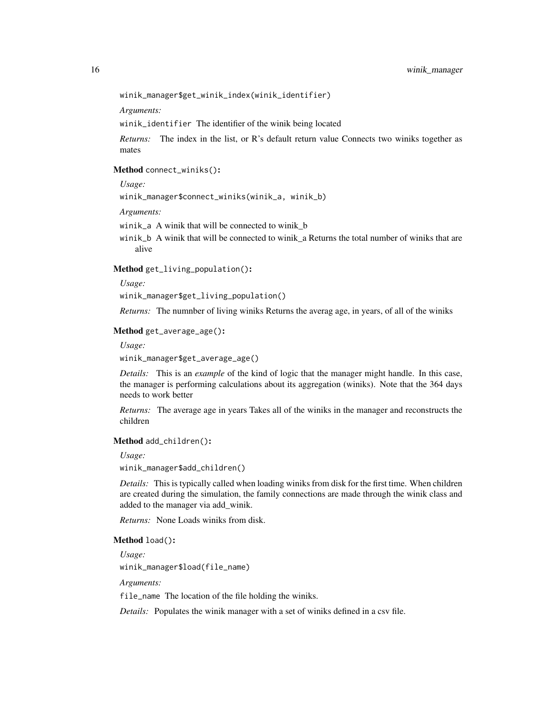winik\_manager\$get\_winik\_index(winik\_identifier)

*Arguments:*

winik\_identifier The identifier of the winik being located

*Returns:* The index in the list, or R's default return value Connects two winiks together as mates

#### <span id="page-15-0"></span>Method connect\_winiks():

*Usage:*

winik\_manager\$connect\_winiks(winik\_a, winik\_b)

*Arguments:*

- winik\_a A winik that will be connected to winik\_b
- winik\_b A winik that will be connected to winik\_a Returns the total number of winiks that are alive

<span id="page-15-1"></span>Method get\_living\_population():

*Usage:*

winik\_manager\$get\_living\_population()

*Returns:* The numnber of living winiks Returns the averag age, in years, of all of the winiks

#### <span id="page-15-2"></span>Method get\_average\_age():

*Usage:*

winik\_manager\$get\_average\_age()

*Details:* This is an *example* of the kind of logic that the manager might handle. In this case, the manager is performing calculations about its aggregation (winiks). Note that the 364 days needs to work better

*Returns:* The average age in years Takes all of the winiks in the manager and reconstructs the children

#### <span id="page-15-3"></span>Method add\_children():

*Usage:*

winik\_manager\$add\_children()

*Details:* This is typically called when loading winiks from disk for the first time. When children are created during the simulation, the family connections are made through the winik class and added to the manager via add\_winik.

*Returns:* None Loads winiks from disk.

#### Method load():

*Usage:*

winik\_manager\$load(file\_name)

*Arguments:*

file\_name The location of the file holding the winiks.

*Details:* Populates the winik manager with a set of winiks defined in a csv file.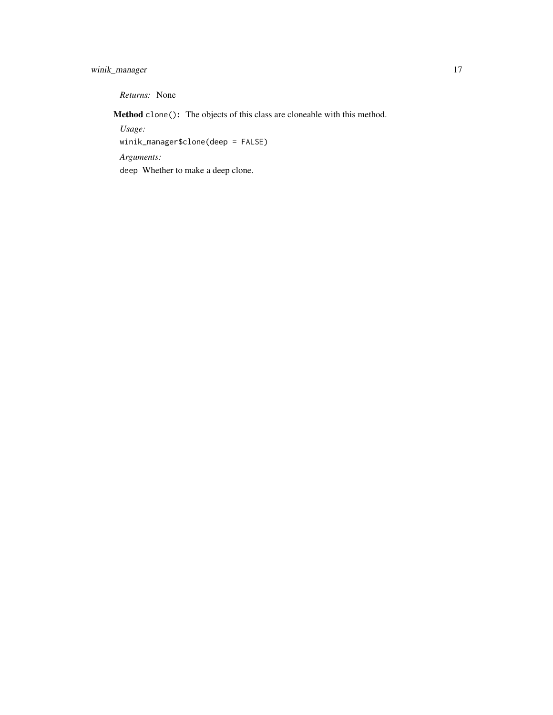#### winik\_manager 17

*Returns:* None

Method clone(): The objects of this class are cloneable with this method.

*Usage:*

winik\_manager\$clone(deep = FALSE)

*Arguments:*

deep Whether to make a deep clone.